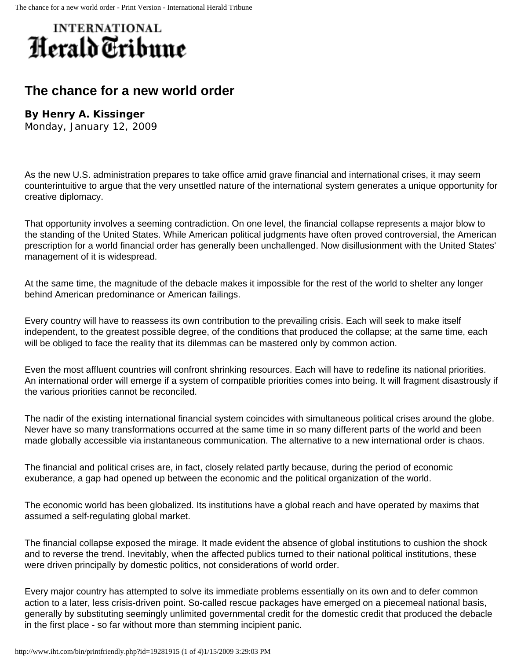## **INTERNATIONAL** Herald Tribune

## **The chance for a new world order**

## **By Henry A. Kissinger**

Monday, January 12, 2009

As the new U.S. administration prepares to take office amid grave financial and international crises, it may seem counterintuitive to argue that the very unsettled nature of the international system generates a unique opportunity for creative diplomacy.

That opportunity involves a seeming contradiction. On one level, the financial collapse represents a major blow to the standing of the United States. While American political judgments have often proved controversial, the American prescription for a world financial order has generally been unchallenged. Now disillusionment with the United States' management of it is widespread.

At the same time, the magnitude of the debacle makes it impossible for the rest of the world to shelter any longer behind American predominance or American failings.

Every country will have to reassess its own contribution to the prevailing crisis. Each will seek to make itself independent, to the greatest possible degree, of the conditions that produced the collapse; at the same time, each will be obliged to face the reality that its dilemmas can be mastered only by common action.

Even the most affluent countries will confront shrinking resources. Each will have to redefine its national priorities. An international order will emerge if a system of compatible priorities comes into being. It will fragment disastrously if the various priorities cannot be reconciled.

The nadir of the existing international financial system coincides with simultaneous political crises around the globe. Never have so many transformations occurred at the same time in so many different parts of the world and been made globally accessible via instantaneous communication. The alternative to a new international order is chaos.

The financial and political crises are, in fact, closely related partly because, during the period of economic exuberance, a gap had opened up between the economic and the political organization of the world.

The economic world has been globalized. Its institutions have a global reach and have operated by maxims that assumed a self-regulating global market.

The financial collapse exposed the mirage. It made evident the absence of global institutions to cushion the shock and to reverse the trend. Inevitably, when the affected publics turned to their national political institutions, these were driven principally by domestic politics, not considerations of world order.

Every major country has attempted to solve its immediate problems essentially on its own and to defer common action to a later, less crisis-driven point. So-called rescue packages have emerged on a piecemeal national basis, generally by substituting seemingly unlimited governmental credit for the domestic credit that produced the debacle in the first place - so far without more than stemming incipient panic.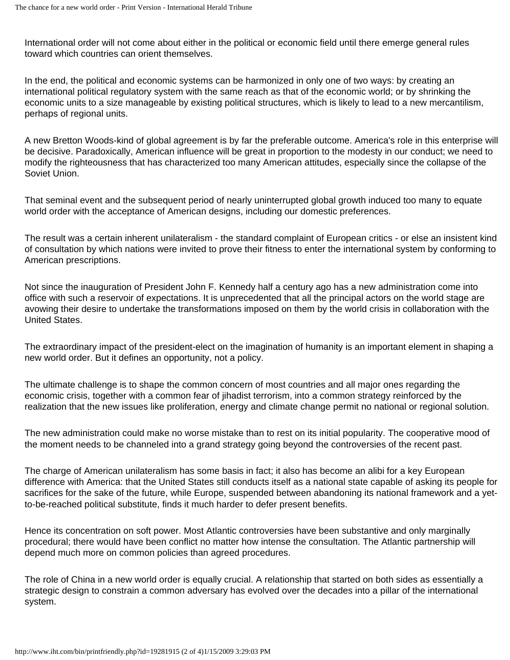International order will not come about either in the political or economic field until there emerge general rules toward which countries can orient themselves.

In the end, the political and economic systems can be harmonized in only one of two ways: by creating an international political regulatory system with the same reach as that of the economic world; or by shrinking the economic units to a size manageable by existing political structures, which is likely to lead to a new mercantilism, perhaps of regional units.

A new Bretton Woods-kind of global agreement is by far the preferable outcome. America's role in this enterprise will be decisive. Paradoxically, American influence will be great in proportion to the modesty in our conduct; we need to modify the righteousness that has characterized too many American attitudes, especially since the collapse of the Soviet Union.

That seminal event and the subsequent period of nearly uninterrupted global growth induced too many to equate world order with the acceptance of American designs, including our domestic preferences.

The result was a certain inherent unilateralism - the standard complaint of European critics - or else an insistent kind of consultation by which nations were invited to prove their fitness to enter the international system by conforming to American prescriptions.

Not since the inauguration of President John F. Kennedy half a century ago has a new administration come into office with such a reservoir of expectations. It is unprecedented that all the principal actors on the world stage are avowing their desire to undertake the transformations imposed on them by the world crisis in collaboration with the United States.

The extraordinary impact of the president-elect on the imagination of humanity is an important element in shaping a new world order. But it defines an opportunity, not a policy.

The ultimate challenge is to shape the common concern of most countries and all major ones regarding the economic crisis, together with a common fear of jihadist terrorism, into a common strategy reinforced by the realization that the new issues like proliferation, energy and climate change permit no national or regional solution.

The new administration could make no worse mistake than to rest on its initial popularity. The cooperative mood of the moment needs to be channeled into a grand strategy going beyond the controversies of the recent past.

The charge of American unilateralism has some basis in fact; it also has become an alibi for a key European difference with America: that the United States still conducts itself as a national state capable of asking its people for sacrifices for the sake of the future, while Europe, suspended between abandoning its national framework and a yetto-be-reached political substitute, finds it much harder to defer present benefits.

Hence its concentration on soft power. Most Atlantic controversies have been substantive and only marginally procedural; there would have been conflict no matter how intense the consultation. The Atlantic partnership will depend much more on common policies than agreed procedures.

The role of China in a new world order is equally crucial. A relationship that started on both sides as essentially a strategic design to constrain a common adversary has evolved over the decades into a pillar of the international system.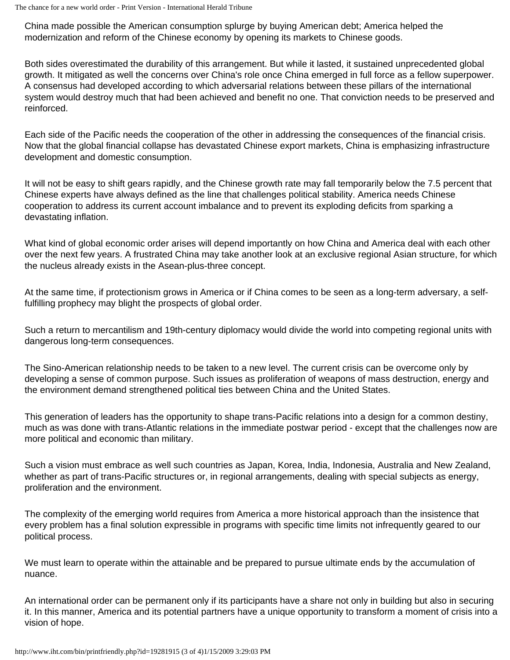China made possible the American consumption splurge by buying American debt; America helped the modernization and reform of the Chinese economy by opening its markets to Chinese goods.

Both sides overestimated the durability of this arrangement. But while it lasted, it sustained unprecedented global growth. It mitigated as well the concerns over China's role once China emerged in full force as a fellow superpower. A consensus had developed according to which adversarial relations between these pillars of the international system would destroy much that had been achieved and benefit no one. That conviction needs to be preserved and reinforced.

Each side of the Pacific needs the cooperation of the other in addressing the consequences of the financial crisis. Now that the global financial collapse has devastated Chinese export markets, China is emphasizing infrastructure development and domestic consumption.

It will not be easy to shift gears rapidly, and the Chinese growth rate may fall temporarily below the 7.5 percent that Chinese experts have always defined as the line that challenges political stability. America needs Chinese cooperation to address its current account imbalance and to prevent its exploding deficits from sparking a devastating inflation.

What kind of global economic order arises will depend importantly on how China and America deal with each other over the next few years. A frustrated China may take another look at an exclusive regional Asian structure, for which the nucleus already exists in the Asean-plus-three concept.

At the same time, if protectionism grows in America or if China comes to be seen as a long-term adversary, a selffulfilling prophecy may blight the prospects of global order.

Such a return to mercantilism and 19th-century diplomacy would divide the world into competing regional units with dangerous long-term consequences.

The Sino-American relationship needs to be taken to a new level. The current crisis can be overcome only by developing a sense of common purpose. Such issues as proliferation of weapons of mass destruction, energy and the environment demand strengthened political ties between China and the United States.

This generation of leaders has the opportunity to shape trans-Pacific relations into a design for a common destiny, much as was done with trans-Atlantic relations in the immediate postwar period - except that the challenges now are more political and economic than military.

Such a vision must embrace as well such countries as Japan, Korea, India, Indonesia, Australia and New Zealand, whether as part of trans-Pacific structures or, in regional arrangements, dealing with special subjects as energy, proliferation and the environment.

The complexity of the emerging world requires from America a more historical approach than the insistence that every problem has a final solution expressible in programs with specific time limits not infrequently geared to our political process.

We must learn to operate within the attainable and be prepared to pursue ultimate ends by the accumulation of nuance.

An international order can be permanent only if its participants have a share not only in building but also in securing it. In this manner, America and its potential partners have a unique opportunity to transform a moment of crisis into a vision of hope.